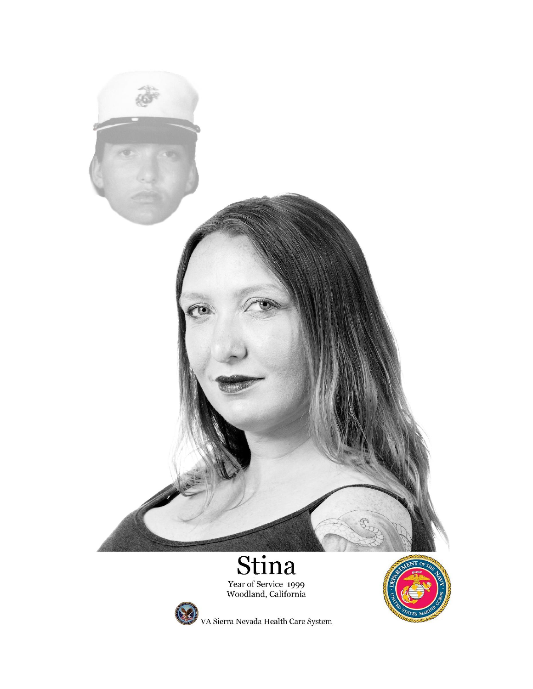

Year of Service 1999<br>Woodland, California



VA Sierra Nevada Health Care System

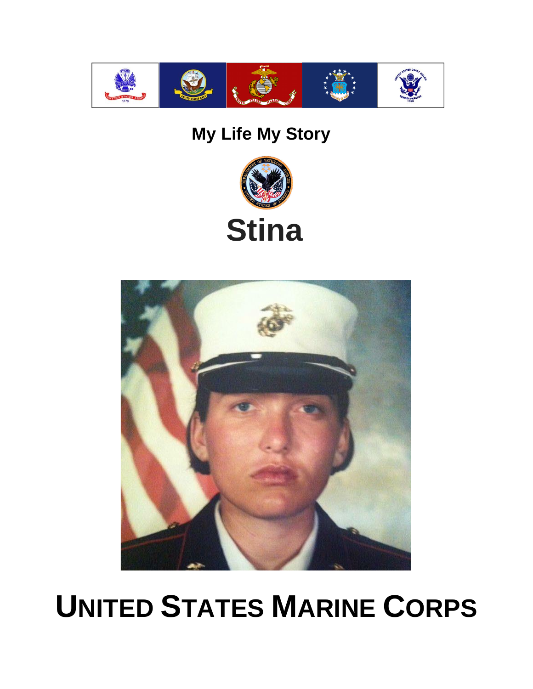

### My Life My Story





## **UNITED STATES MARINE CORPS**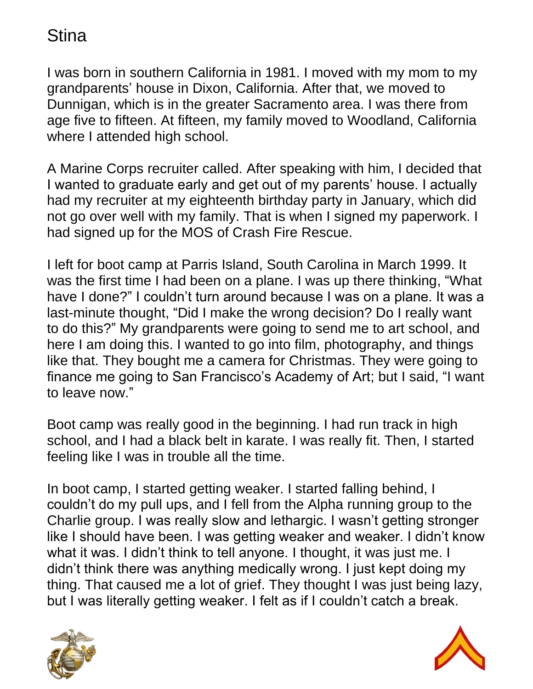I was born in southern California in 1981. I moved with my mom to my grandparents' house in Dixon, California. After that, we moved to Dunnigan, which is in the greater Sacramento area. I was there from age five to fifteen. At fifteen, my family moved to Woodland, California where I attended high school.

A Marine Corps recruiter called. After speaking with him, I decided that I wanted to graduate early and get out of my parents' house. I actually had my recruiter at my eighteenth birthday party in January, which did not go over well with my family. That is when I signed my paperwork. I had signed up for the MOS of Crash Fire Rescue.

I left for boot camp at Parris Island, South Carolina in March 1999. It was the first time I had been on a plane. I was up there thinking, "What have I done?" I couldn't turn around because I was on a plane. It was a last-minute thought, "Did I make the wrong decision? Do I really want to do this?" My grandparents were going to send me to art school, and here I am doing this. I wanted to go into film, photography, and things like that. They bought me a camera for Christmas. They were going to finance me going to San Francisco's Academy of Art; but I said, "I want to leave now."

Boot camp was really good in the beginning. I had run track in high school, and I had a black belt in karate. I was really fit. Then, I started feeling like I was in trouble all the time.

In boot camp, I started getting weaker. I started falling behind, I couldn't do my pull ups, and I fell from the Alpha running group to the Charlie group. I was really slow and lethargic. I wasn't getting stronger like I should have been. I was getting weaker and weaker. I didn't know what it was. I didn't think to tell anyone. I thought, it was just me. I didn't think there was anything medically wrong. I just kept doing my thing. That caused me a lot of grief. They thought I was just being lazy, but I was literally getting weaker. I felt as if I couldn't catch a break.



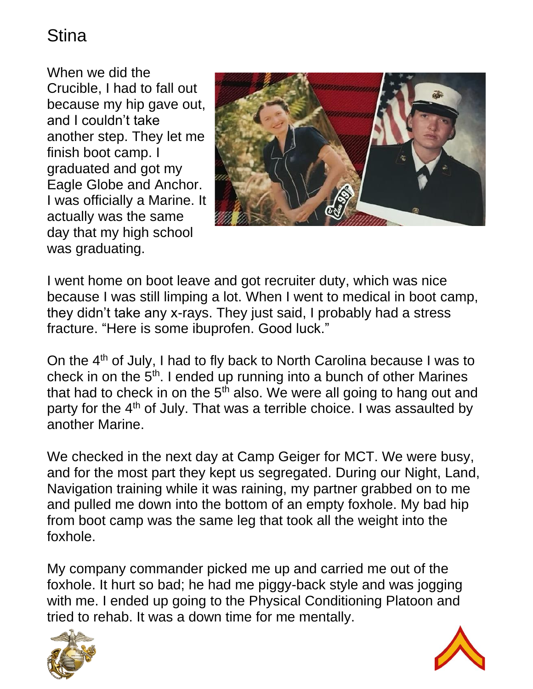When we did the Crucible, I had to fall out because my hip gave out, and I couldn't take another step. They let me finish boot camp. I graduated and got my Eagle Globe and Anchor. I was officially a Marine. It actually was the same day that my high school was graduating.



I went home on boot leave and got recruiter duty, which was nice because I was still limping a lot. When I went to medical in boot camp, they didn't take any x-rays. They just said, I probably had a stress fracture. "Here is some ibuprofen. Good luck."

On the 4<sup>th</sup> of July, I had to fly back to North Carolina because I was to check in on the  $5<sup>th</sup>$ . I ended up running into a bunch of other Marines that had to check in on the  $5<sup>th</sup>$  also. We were all going to hang out and party for the 4<sup>th</sup> of July. That was a terrible choice. I was assaulted by another Marine.

We checked in the next day at Camp Geiger for MCT. We were busy, and for the most part they kept us segregated. During our Night, Land, Navigation training while it was raining, my partner grabbed on to me and pulled me down into the bottom of an empty foxhole. My bad hip from boot camp was the same leg that took all the weight into the foxhole.

My company commander picked me up and carried me out of the foxhole. It hurt so bad; he had me piggy-back style and was jogging with me. I ended up going to the Physical Conditioning Platoon and tried to rehab. It was a down time for me mentally.



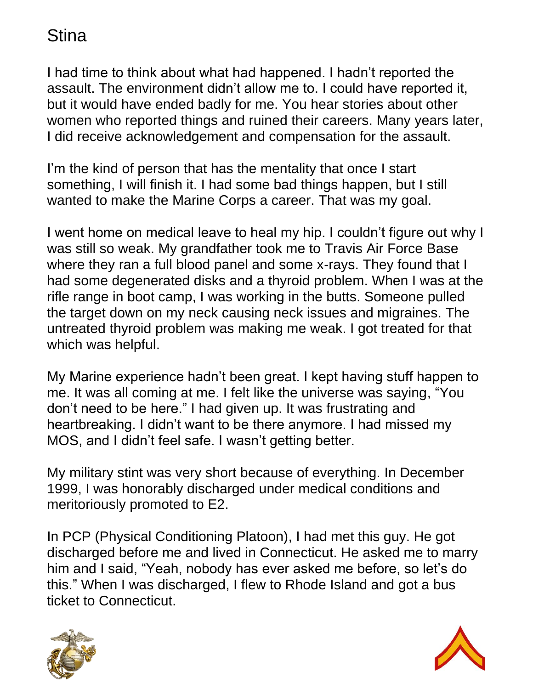I had time to think about what had happened. I hadn't reported the assault. The environment didn't allow me to. I could have reported it, but it would have ended badly for me. You hear stories about other women who reported things and ruined their careers. Many years later, I did receive acknowledgement and compensation for the assault.

I'm the kind of person that has the mentality that once I start something, I will finish it. I had some bad things happen, but I still wanted to make the Marine Corps a career. That was my goal.

I went home on medical leave to heal my hip. I couldn't figure out why I was still so weak. My grandfather took me to Travis Air Force Base where they ran a full blood panel and some x-rays. They found that I had some degenerated disks and a thyroid problem. When I was at the rifle range in boot camp, I was working in the butts. Someone pulled the target down on my neck causing neck issues and migraines. The untreated thyroid problem was making me weak. I got treated for that which was helpful.

My Marine experience hadn't been great. I kept having stuff happen to me. It was all coming at me. I felt like the universe was saying, "You don't need to be here." I had given up. It was frustrating and heartbreaking. I didn't want to be there anymore. I had missed my MOS, and I didn't feel safe. I wasn't getting better.

My military stint was very short because of everything. In December 1999, I was honorably discharged under medical conditions and meritoriously promoted to E2.

In PCP (Physical Conditioning Platoon), I had met this guy. He got discharged before me and lived in Connecticut. He asked me to marry him and I said, "Yeah, nobody has ever asked me before, so let's do this." When I was discharged, I flew to Rhode Island and got a bus ticket to Connecticut.



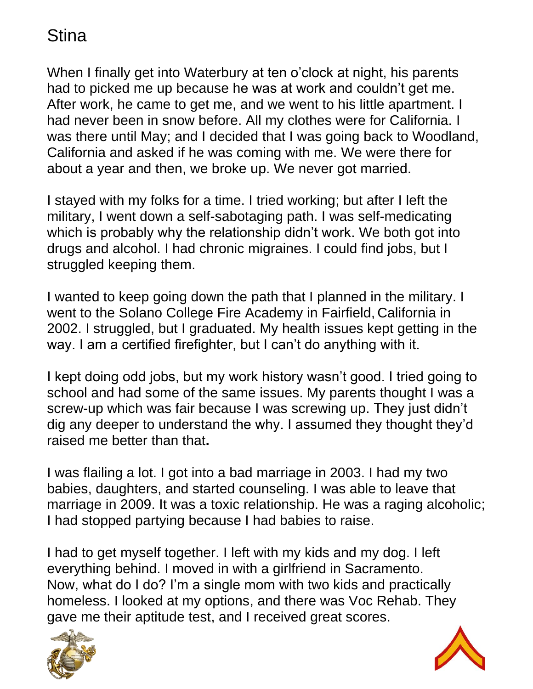When I finally get into Waterbury at ten o'clock at night, his parents had to picked me up because he was at work and couldn't get me. After work, he came to get me, and we went to his little apartment. I had never been in snow before. All my clothes were for California. I was there until May; and I decided that I was going back to Woodland, California and asked if he was coming with me. We were there for about a year and then, we broke up. We never got married.

I stayed with my folks for a time. I tried working; but after I left the military, I went down a self-sabotaging path. I was self-medicating which is probably why the relationship didn't work. We both got into drugs and alcohol. I had chronic migraines. I could find jobs, but I struggled keeping them.

I wanted to keep going down the path that I planned in the military. I went to the Solano College Fire Academy in Fairfield, California in 2002. I struggled, but I graduated. My health issues kept getting in the way. I am a certified firefighter, but I can't do anything with it.

I kept doing odd jobs, but my work history wasn't good. I tried going to school and had some of the same issues. My parents thought I was a screw-up which was fair because I was screwing up. They just didn't dig any deeper to understand the why. I assumed they thought they'd raised me better than that**.** 

I was flailing a lot. I got into a bad marriage in 2003. I had my two babies, daughters, and started counseling. I was able to leave that marriage in 2009. It was a toxic relationship. He was a raging alcoholic; I had stopped partying because I had babies to raise.

I had to get myself together. I left with my kids and my dog. I left everything behind. I moved in with a girlfriend in Sacramento. Now, what do I do? I'm a single mom with two kids and practically homeless. I looked at my options, and there was Voc Rehab. They gave me their aptitude test, and I received great scores.



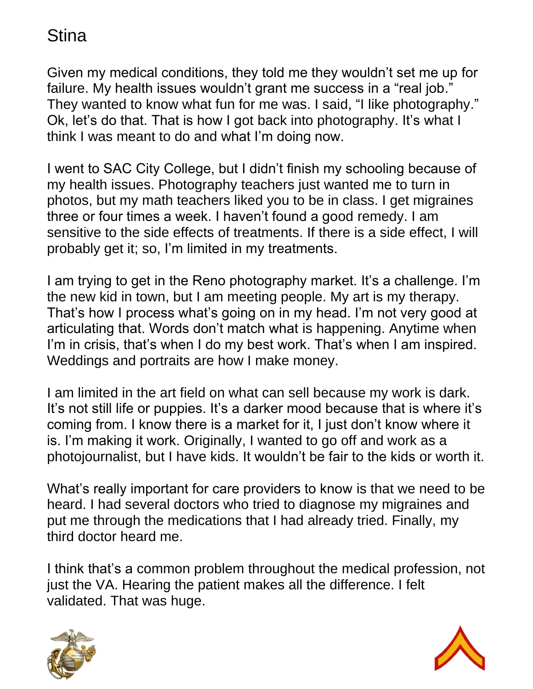Given my medical conditions, they told me they wouldn't set me up for failure. My health issues wouldn't grant me success in a "real job." They wanted to know what fun for me was. I said, "I like photography." Ok, let's do that. That is how I got back into photography. It's what I think I was meant to do and what I'm doing now.

I went to SAC City College, but I didn't finish my schooling because of my health issues. Photography teachers just wanted me to turn in photos, but my math teachers liked you to be in class. I get migraines three or four times a week. I haven't found a good remedy. I am sensitive to the side effects of treatments. If there is a side effect, I will probably get it; so, I'm limited in my treatments.

I am trying to get in the Reno photography market. It's a challenge. I'm the new kid in town, but I am meeting people. My art is my therapy. That's how I process what's going on in my head. I'm not very good at articulating that. Words don't match what is happening. Anytime when I'm in crisis, that's when I do my best work. That's when I am inspired. Weddings and portraits are how I make money.

I am limited in the art field on what can sell because my work is dark. It's not still life or puppies. It's a darker mood because that is where it's coming from. I know there is a market for it, I just don't know where it is. I'm making it work. Originally, I wanted to go off and work as a photojournalist, but I have kids. It wouldn't be fair to the kids or worth it.

What's really important for care providers to know is that we need to be heard. I had several doctors who tried to diagnose my migraines and put me through the medications that I had already tried. Finally, my third doctor heard me.

I think that's a common problem throughout the medical profession, not just the VA. Hearing the patient makes all the difference. I felt validated. That was huge.